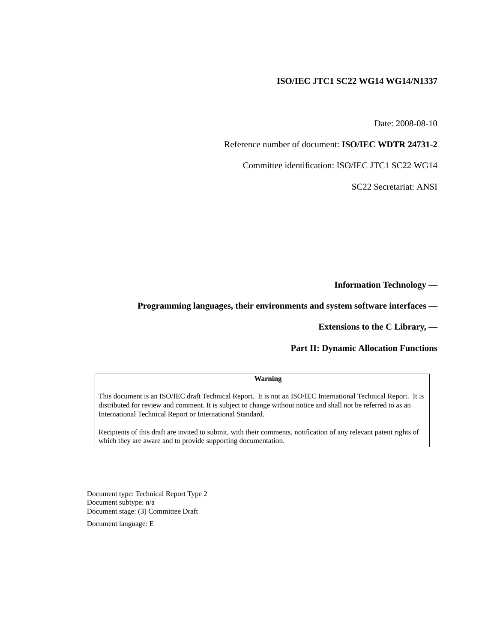#### **ISO/IEC JTC1 SC22 WG14 WG14/N1337**

Date: 2008-08-10

Reference number of document: **ISO/IEC WDTR 24731-2**

Committee identification: ISO/IEC JTC1 SC22 WG14

SC22 Secretariat: ANSI

**Information Technology —**

**Programming languages, their environments and system software interfaces —**

**Extensions to the C Library, —**

**Part II: Dynamic Allocation Functions**

#### **Warning**

This document is an ISO/IEC draft Technical Report. It is not an ISO/IEC International Technical Report. It is distributed for review and comment. It is subject to change without notice and shall not be referred to as an International Technical Report or International Standard.

Recipients of this draft are invited to submit, with their comments, notification of any relevant patent rights of which they are aware and to provide supporting documentation.

Document type: Technical Report Type 2 Document subtype: n/a Document stage: (3) Committee Draft

Document language: E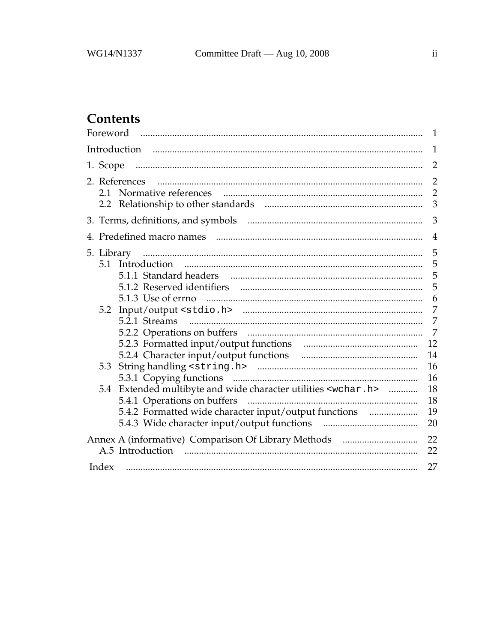# Contents

|                |                                                                      | 1                                     |  |  |
|----------------|----------------------------------------------------------------------|---------------------------------------|--|--|
| $\mathbf{1}$   |                                                                      |                                       |  |  |
|                |                                                                      | $\overline{2}$                        |  |  |
|                | 2. References                                                        | $\overline{2}$<br>$\overline{2}$<br>3 |  |  |
| 3              |                                                                      |                                       |  |  |
| $\overline{4}$ |                                                                      |                                       |  |  |
|                |                                                                      | 5                                     |  |  |
|                |                                                                      | 5<br>6                                |  |  |
|                |                                                                      | 7                                     |  |  |
|                |                                                                      | $\overline{7}$<br>$\overline{7}$      |  |  |
|                |                                                                      | 12<br>14                              |  |  |
|                |                                                                      | 16<br>16                              |  |  |
| 5.4            | Extended multibyte and wide character utilities <wchar.h> </wchar.h> | 18<br>18                              |  |  |
|                | 5.4.2 Formatted wide character input/output functions                | 19<br>20                              |  |  |
|                | A.5 Introduction                                                     | 22<br>22                              |  |  |
| Index          |                                                                      | 27                                    |  |  |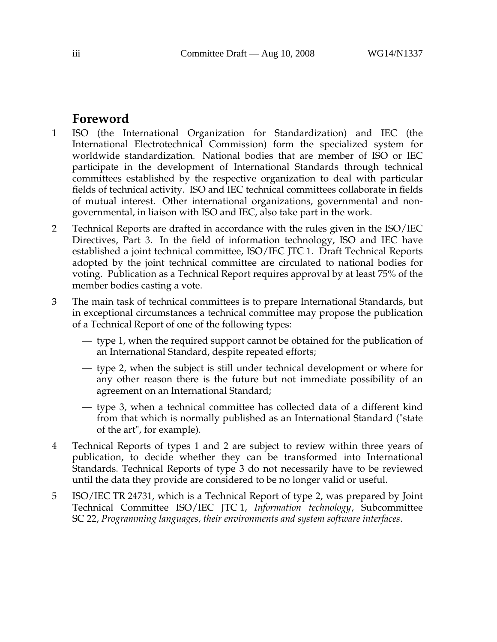## **Foreword**

- 1 ISO (the International Organization for Standardization) and IEC (the International Electrotechnical Commission) form the specialized system for worldwide standardization. National bodies that are member of ISO or IEC participate in the development of International Standards through technical committees established by the respective organization to deal with particular fields of technical activity. ISO and IEC technical committees collaborate in fields of mutual interest. Other international organizations, governmental and nongovernmental, in liaison with ISO and IEC, also take part in the work.
- 2 Technical Reports are drafted in accordance with the rules given in the ISO/IEC Directives, Part 3. In the field of information technology, ISO and IEC have established a joint technical committee, ISO/IEC JTC 1. Draft Technical Reports adopted by the joint technical committee are circulated to national bodies for voting. Publication as a Technical Report requires approval by at least 75% of the member bodies casting a vote.
- 3 The main task of technical committees is to prepare International Standards, but in exceptional circumstances a technical committee may propose the publication of a Technical Report of one of the following types:
	- type 1, when the required support cannot be obtained for the publication of an International Standard, despite repeated efforts;
	- type 2, when the subject is still under technical development or where for any other reason there is the future but not immediate possibility of an agreement on an International Standard;
	- type 3, when a technical committee has collected data of a different kind from that which is normally published as an International Standard ("state of the art", for example).
- 4 Technical Reports of types 1 and 2 are subject to review within three years of publication, to decide whether they can be transformed into International Standards. Technical Reports of type 3 do not necessarily have to be reviewed until the data they provide are considered to be no longer valid or useful.
- 5 ISO/IEC TR 24731, which is a Technical Report of type 2, was prepared by Joint Technical Committee ISO/IEC JTC 1, *Information technology*, Subcommittee SC 22, *Programming languages, their environments and system software interfaces*.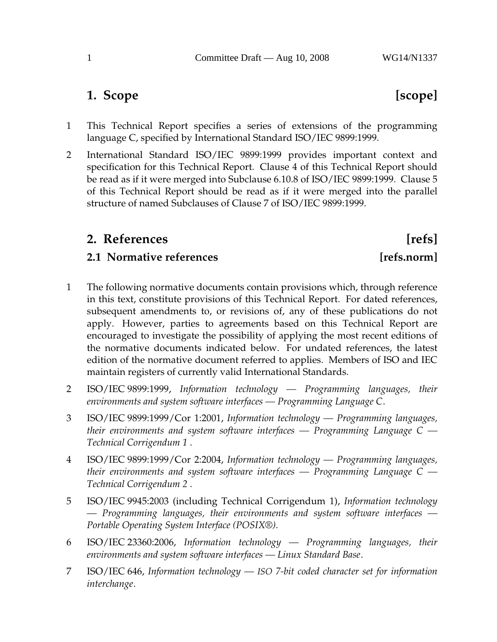## **1. Scope [scope]**

- 1 This Technical Report specifies a series of extensions of the programming language C, specified by International Standard ISO/IEC 9899:1999.
- 2 International Standard ISO/IEC 9899:1999 provides important context and specification for this Technical Report. Clause 4 of this Technical Report should be read as if it were merged into Subclause 6.10.8 of ISO/IEC 9899:1999. Clause 5 of this Technical Report should be read as if it were merged into the parallel structure of named Subclauses of Clause 7 of ISO/IEC 9899:1999.

## **2. References [refs]**

## **2.1 Normative references** [refs.norm]

- 1 The following normative documents contain provisions which, through reference in this text, constitute provisions of this Technical Report. For dated references, subsequent amendments to, or revisions of, any of these publications do not apply. However, parties to agreements based on this Technical Report are encouraged to investigate the possibility of applying the most recent editions of the normative documents indicated below. For undated references, the latest edition of the normative document referred to applies. Members of ISO and IEC maintain registers of currently valid International Standards.
- 2 ISO/IEC 9899:1999, *Information technology Programming languages, their environments and system software interfaces — Programming Language C*.
- 3 ISO/IEC 9899:1999/Cor 1:2001, *Information technology Programming languages, their environments and system software interfaces — Programming Language C — Technical Corrigendum 1* .
- 4 ISO/IEC 9899:1999/Cor 2:2004, *Information technology Programming languages, their environments and system software interfaces — Programming Language C — Technical Corrigendum 2* .
- 5 ISO/IEC 9945:2003 (including Technical Corrigendum 1), *Information technology — Programming languages, their environments and system software interfaces — Portable Operating System Interface (POSIX®)*.
- 6 ISO/IEC 23360:2006, *Information technology Programming languages, their environments and system software interfaces — Linux Standard Base*.
- 7 ISO/IEC 646, *Information technology — ISO 7-bit coded character set for information interchange*.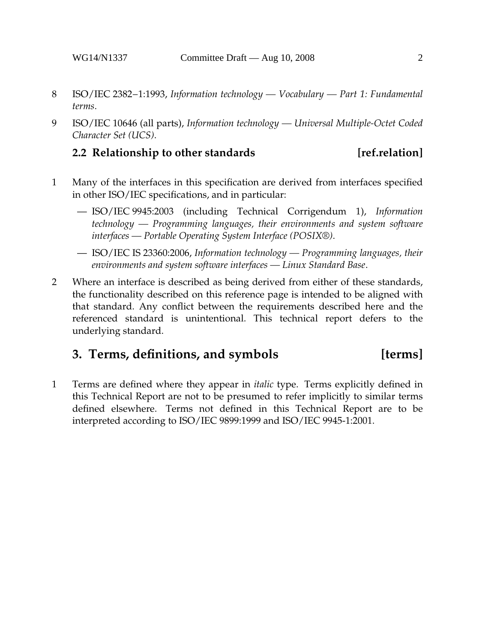- 8 ISO/IEC 2382−1:1993, *Information technology Vocabulary Part 1: Fundamental terms*.
- 9 ISO/IEC 10646 (all parts), *Information technology Universal Multiple-Octet Coded Character Set (UCS)*.

### **2.2 Relationship to other standards [ref.relation]**

- 1 Many of the interfaces in this specification are derived from interfaces specified in other ISO/IEC specifications, and in particular:
	- ISO/IEC 9945:2003 (including Technical Corrigendum 1), *Information technology — Programming languages, their environments and system software interfaces — Portable Operating System Interface (POSIX®)*.
	- ISO/IEC IS 23360:2006, *Information technology Programming languages, their environments and system software interfaces — Linux Standard Base*.
- 2 Where an interface is described as being derived from either of these standards, the functionality described on this reference page is intended to be aligned with that standard. Any conflict between the requirements described here and the referenced standard is unintentional. This technical report defers to the underlying standard.

## **3. Terms, definitions, and symbols [terms]**

1 Terms are defined where they appear in *italic* type. Terms explicitly defined in this Technical Report are not to be presumed to refer implicitly to similar terms defined elsewhere. Terms not defined in this Technical Report are to be interpreted according to ISO/IEC 9899:1999 and ISO/IEC 9945-1:2001.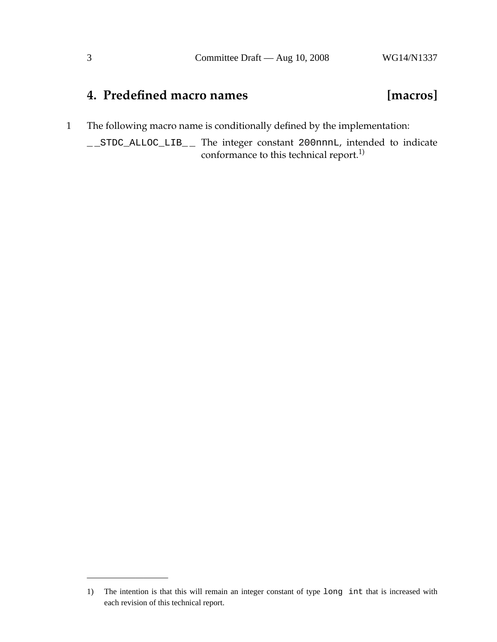## **4. Predefined macro names [macros]**

1 The following macro name is conditionally defined by the implementation:

\_ \_STDC\_ALLOC\_LIB\_ \_ The integer constant 200nnnL, intended to indicate conformance to this technical report.<sup>1)</sup>

<sup>1)</sup> The intention is that this will remain an integer constant of type long int that is increased with each revision of this technical report.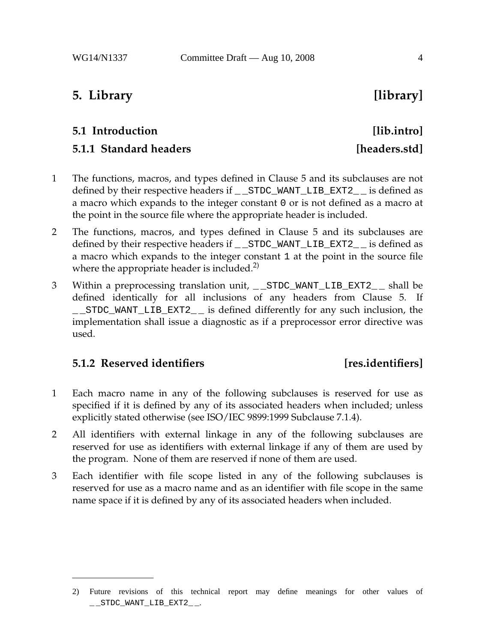## **5. Library [library]**

# **5.1 Introduction [lib.intro]**

## **5.1.1 Standard headers** *headers* [headers.std]

- 1 The functions, macros, and types defined in Clause 5 and its subclauses are not defined by their respective headers if \_\_STDC\_WANT\_LIB\_EXT2\_\_ is defined as a macro which expands to the integer constant 0 or is not defined as a macro at the point in the source file where the appropriate header is included.
- 2 The functions, macros, and types defined in Clause 5 and its subclauses are defined by their respective headers if \_\_STDC\_WANT\_LIB\_EXT2\_\_ is defined as a macro which expands to the integer constant 1 at the point in the source file where the appropriate header is included.<sup>2)</sup>
- 3 Within a preprocessing translation unit, \_\_STDC\_WANT\_LIB\_EXT2\_\_ shall be defined identically for all inclusions of any headers from Clause 5. If \_ \_STDC\_WANT\_LIB\_EXT2\_ \_ is defined differently for any such inclusion, the implementation shall issue a diagnostic as if a preprocessor error directive was used.

### **5.1.2 Reserved identifiers [res.identifiers]**

- 1 Each macro name in any of the following subclauses is reserved for use as specified if it is defined by any of its associated headers when included; unless explicitly stated otherwise (see ISO/IEC 9899:1999 Subclause 7.1.4).
- 2 All identifiers with external linkage in any of the following subclauses are reserved for use as identifiers with external linkage if any of them are used by the program. None of them are reserved if none of them are used.
- 3 Each identifier with file scope listed in any of the following subclauses is reserved for use as a macro name and as an identifier with file scope in the same name space if it is defined by any of its associated headers when included.

<sup>2)</sup> Future revisions of this technical report may define meanings for other values of \_ \_STDC\_WANT\_LIB\_EXT2\_ \_.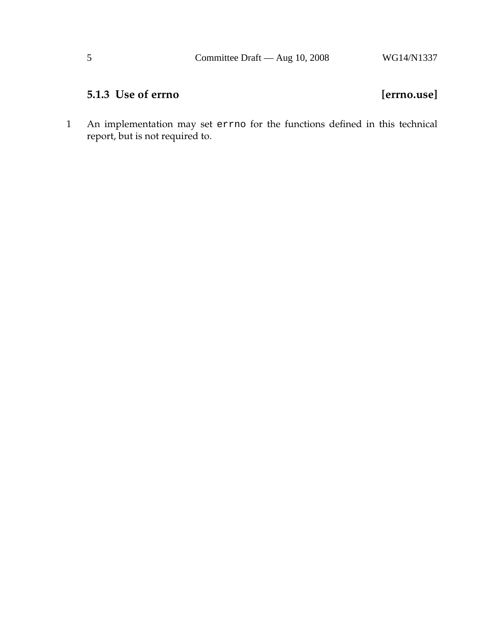## **5.1.3 Use of errno [errno.use]**

1 An implementation may set errno for the functions defined in this technical report, but is not required to.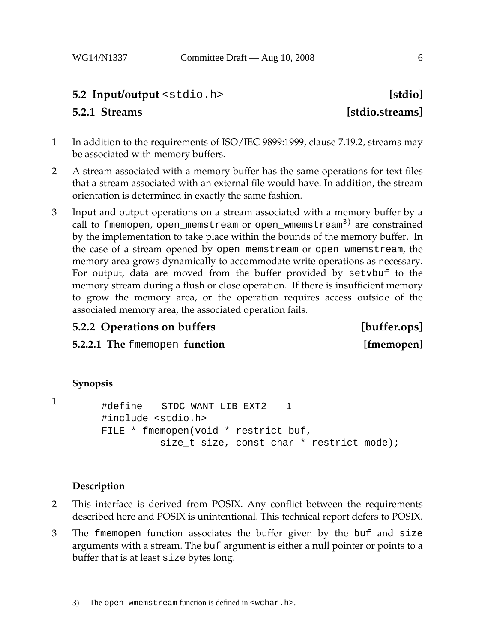### **5.2 Input/output** <stdio.h> **[stdio]**

### **5.2.1 Streams [stdio.streams]**

- 1 In addition to the requirements of ISO/IEC 9899:1999, clause 7.19.2, streams may be associated with memory buffers.
- 2 A stream associated with a memory buffer has the same operations for text files that a stream associated with an external file would have. In addition, the stream orientation is determined in exactly the same fashion.
- 3 Input and output operations on a stream associated with a memory buffer by a call to fmemopen, open\_memstream or open\_wmemstream<sup>3)</sup> are constrained by the implementation to take place within the bounds of the memory buffer. In the case of a stream opened by open\_memstream or open\_wmemstream, the memory area grows dynamically to accommodate write operations as necessary. For output, data are moved from the buffer provided by setvbuf to the memory stream during a flush or close operation. If there is insufficient memory to grow the memory area, or the operation requires access outside of the associated memory area, the associated operation fails.

### **5.2.2 Operations on buffers [buffer.ops]**

**5.2.2.1 The** fmemopen **function [fmemopen]**

### **Synopsis**

```
1
```

```
#define __STDC_WANT_LIB_EXT2__ 1
#include <stdio.h>
FILE * fmemopen(void * restrict buf,
          size t size, const char * restrict mode);
```
- 2 This interface is derived from POSIX. Any conflict between the requirements described here and POSIX is unintentional. This technical report defers to POSIX.
- 3 The fmemopen function associates the buffer given by the buf and size arguments with a stream. The buf argument is either a null pointer or points to a buffer that is at least size bytes long.

<sup>3)</sup> The open wmemstream function is defined in  $\alpha$ -wchar.h>.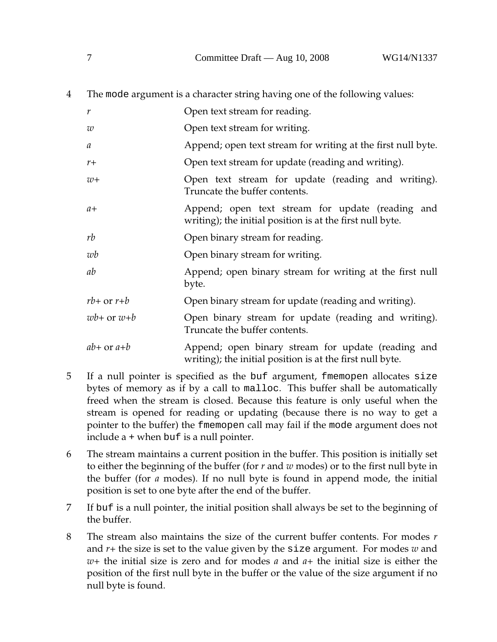| 4 |                  | The mode argument is a character string having one of the following values:                                     |
|---|------------------|-----------------------------------------------------------------------------------------------------------------|
|   | $\boldsymbol{r}$ | Open text stream for reading.                                                                                   |
|   | w                | Open text stream for writing.                                                                                   |
|   | $\boldsymbol{a}$ | Append; open text stream for writing at the first null byte.                                                    |
|   | $r +$            | Open text stream for update (reading and writing).                                                              |
|   | $w+$             | Open text stream for update (reading and writing).<br>Truncate the buffer contents.                             |
|   | $a+$             | Append; open text stream for update (reading and<br>writing); the initial position is at the first null byte.   |
|   | rb               | Open binary stream for reading.                                                                                 |
|   | wb               | Open binary stream for writing.                                                                                 |
|   | ab               | Append; open binary stream for writing at the first null<br>byte.                                               |
|   | $rb+$ or $r+b$   | Open binary stream for update (reading and writing).                                                            |
|   | $wb+$ or $w+b$   | Open binary stream for update (reading and writing).<br>Truncate the buffer contents.                           |
|   | $ab+$ or $a+b$   | Append; open binary stream for update (reading and<br>writing); the initial position is at the first null byte. |

- 5 If a null pointer is specified as the buf argument, fmemopen allocates size bytes of memory as if by a call to malloc. This buffer shall be automatically freed when the stream is closed. Because this feature is only useful when the stream is opened for reading or updating (because there is no way to get a pointer to the buffer) the fmemopen call may fail if the mode argument does not include a + when buf is a null pointer.
- 6 The stream maintains a current position in the buffer. This position is initially set to either the beginning of the buffer (for *r* and *w* modes) or to the first null byte in the buffer (for *a* modes). If no null byte is found in append mode, the initial position is set to one byte after the end of the buffer.
- 7 If buf is a null pointer, the initial position shall always be set to the beginning of the buffer.
- 8 The stream also maintains the size of the current buffer contents. For modes *r* and *r+* the size is set to the value given by the size argument. For modes *w* and *w+* the initial size is zero and for modes *a* and *a+* the initial size is either the position of the first null byte in the buffer or the value of the size argument if no null byte is found.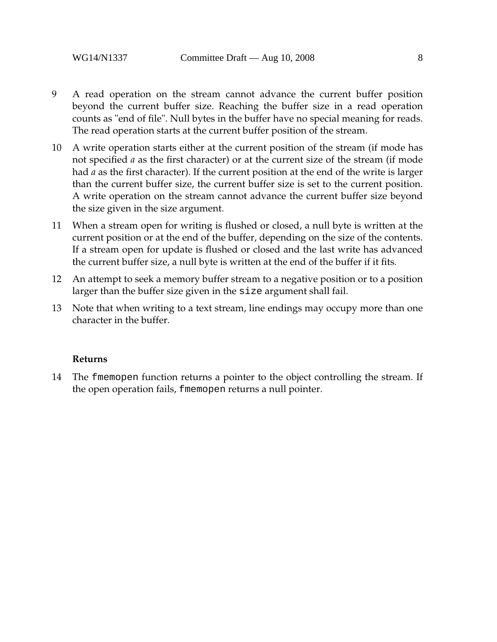- 9 A read operation on the stream cannot advance the current buffer position beyond the current buffer size. Reaching the buffer size in a read operation counts as "end of file". Null bytes in the buffer have no special meaning for reads. The read operation starts at the current buffer position of the stream.
- 10 A write operation starts either at the current position of the stream (if mode has not specified *a* as the first character) or at the current size of the stream (if mode had *a* as the first character). If the current position at the end of the write is larger than the current buffer size, the current buffer size is set to the current position. A write operation on the stream cannot advance the current buffer size beyond the size given in the size argument.
- 11 When a stream open for writing is flushed or closed, a null byte is written at the current position or at the end of the buffer, depending on the size of the contents. If a stream open for update is flushed or closed and the last write has advanced the current buffer size, a null byte is written at the end of the buffer if it fits.
- 12 An attempt to seek a memory buffer stream to a negative position or to a position larger than the buffer size given in the size argument shall fail.
- 13 Note that when writing to a text stream, line endings may occupy more than one character in the buffer.

#### **Returns**

14 The fmemopen function returns a pointer to the object controlling the stream. If the open operation fails, fmemopen returns a null pointer.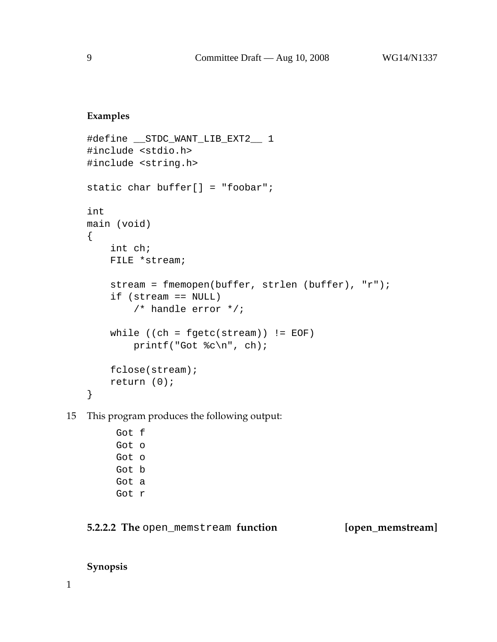#### **Examples**

```
#define __STDC_WANT_LIB_EXT2__ 1
#include <stdio.h>
#include <string.h>
static char buffer[] = "foobar";
int
main (void)
{
    int ch;
    FILE *stream;
    stream = fmemopen(buffer, strlen (buffer), "r");
    if (stream == NULL)
        /* handle error */;
    while ((ch = fgetc(stream)) != EOF)
        printf("Got %c\n", ch);
    fclose(stream);
    return (0);
}
```
15 This program produces the following output:

Got f Got o Got o Got b Got a Got r

### **5.2.2.2 The** open\_memstream **function [open\_memstream]**

#### **Synopsis**

1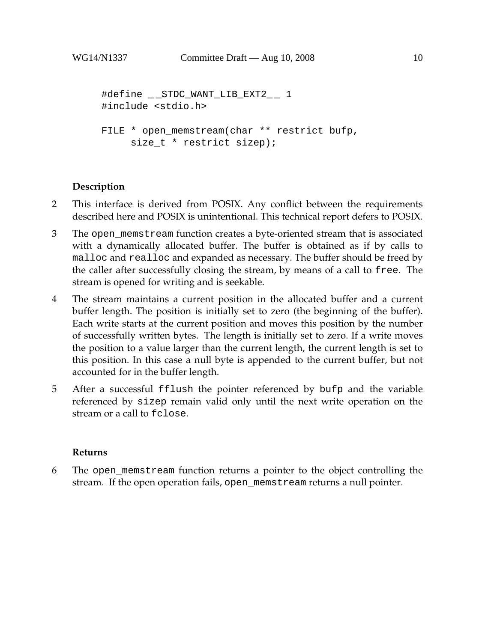```
#define __STDC_WANT_LIB_EXT2__ 1
#include <stdio.h>
FILE * open_memstream(char ** restrict bufp,
     size_t * restrict sizep);
```
### **Description**

- 2 This interface is derived from POSIX. Any conflict between the requirements described here and POSIX is unintentional. This technical report defers to POSIX.
- 3 The open\_memstream function creates a byte-oriented stream that is associated with a dynamically allocated buffer. The buffer is obtained as if by calls to malloc and realloc and expanded as necessary. The buffer should be freed by the caller after successfully closing the stream, by means of a call to free. The stream is opened for writing and is seekable.
- 4 The stream maintains a current position in the allocated buffer and a current buffer length. The position is initially set to zero (the beginning of the buffer). Each write starts at the current position and moves this position by the number of successfully written bytes. The length is initially set to zero. If a write moves the position to a value larger than the current length, the current length is set to this position. In this case a null byte is appended to the current buffer, but not accounted for in the buffer length.
- 5 After a successful fflush the pointer referenced by bufp and the variable referenced by sizep remain valid only until the next write operation on the stream or a call to fclose.

#### **Returns**

6 The open\_memstream function returns a pointer to the object controlling the stream. If the open operation fails, open\_memstream returns a null pointer.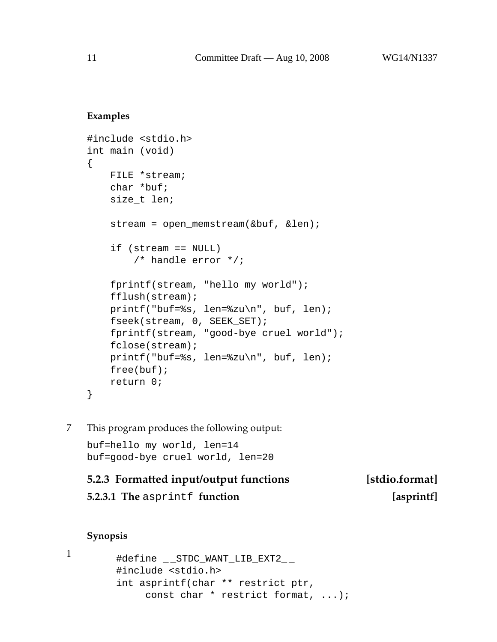#### **Examples**

```
#include <stdio.h>
int main (void)
\{FILE *stream;
    char *buf;
    size_t len;
    stream = open memstream(&but, &\text{len};if (stream == NULL)
        /* handle error */;
    fprintf(stream, "hello my world");
    fflush(stream);
    printf("buf=%s, len=%zu\n", buf, len);
    fseek(stream, 0, SEEK_SET);
    fprintf(stream, "good-bye cruel world");
    fclose(stream);
    printf("buf=%s, len=%zu\n", buf, len);
    free(buf);
    return 0;
}
```
7 This program produces the following output:

buf=hello my world, len=14 buf=good-bye cruel world, len=20

## **5.2.3 Formatted input/output functions [stdio.format] 5.2.3.1 The** asprintf **function [asprintf]**

#### **Synopsis**

```
1
```

```
#define _ _STDC_WANT_LIB_EXT2_ _
#include <stdio.h>
int asprintf(char ** restrict ptr,
     const char * restrict format, ...);
```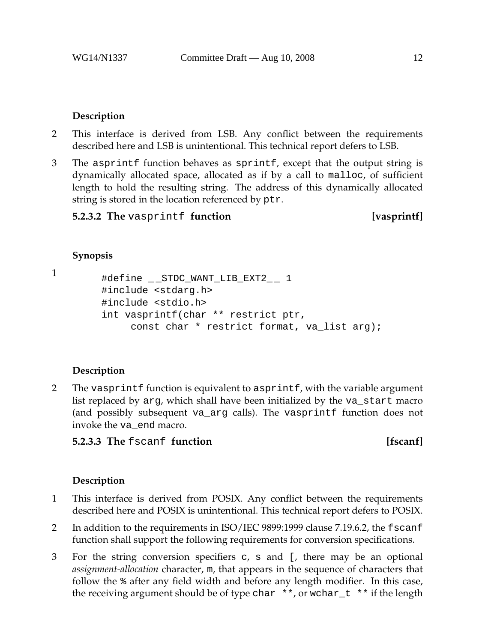#### **Description**

- 2 This interface is derived from LSB. Any conflict between the requirements described here and LSB is unintentional. This technical report defers to LSB.
- 3 The asprintf function behaves as sprintf, except that the output string is dynamically allocated space, allocated as if by a call to malloc, of sufficient length to hold the resulting string. The address of this dynamically allocated string is stored in the location referenced by ptr.

**5.2.3.2 The** vasprintf **function** [vasprintf]

#### **Synopsis**

1

```
#define __STDC_WANT_LIB_EXT2__ 1
#include <stdarg.h>
#include <stdio.h>
int vasprintf(char ** restrict ptr,
     const char * restrict format, va_list arg);
```
### **Description**

2 The vasprintf function is equivalent to asprintf, with the variable argument list replaced by arg, which shall have been initialized by the va\_start macro (and possibly subsequent va\_arg calls). The vasprintf function does not invoke the va\_end macro.

### **5.2.3.3 The** fscanf **function** [fscanf]

- 1 This interface is derived from POSIX. Any conflict between the requirements described here and POSIX is unintentional. This technical report defers to POSIX.
- 2 In addition to the requirements in ISO/IEC 9899:1999 clause 7.19.6.2, the fscanf function shall support the following requirements for conversion specifications.
- 3 For the string conversion specifiers c, s and [, there may be an optional *assignment-allocation* character, m, that appears in the sequence of characters that follow the % after any field width and before any length modifier. In this case, the receiving argument should be of type char  $**$ , or wchar  $t$  \*\* if the length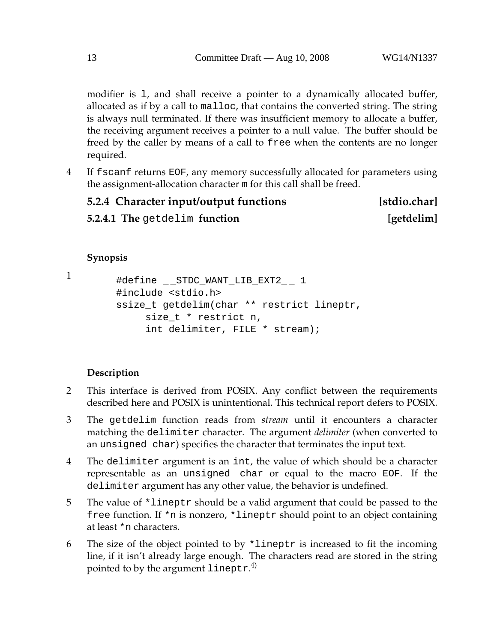modifier is l, and shall receive a pointer to a dynamically allocated buffer, allocated as if by a call to malloc, that contains the converted string. The string is always null terminated. If there was insufficient memory to allocate a buffer, the receiving argument receives a pointer to a null value. The buffer should be freed by the caller by means of a call to free when the contents are no longer required.

4 If fscanf returns EOF, any memory successfully allocated for parameters using the assignment-allocation character m for this call shall be freed.

| 5.2.4 Character input/output functions | [stdio.char] |
|----------------------------------------|--------------|
| 5.2.4.1 The getdelim function          | [getdelim]   |

#### **Synopsis**

1

```
#define __STDC_WANT_LIB_EXT2__ 1
#include <stdio.h>
ssize_t getdelim(char ** restrict lineptr,
     size_t * restrict n,
     int delimiter, FILE * stream);
```
- 2 This interface is derived from POSIX. Any conflict between the requirements described here and POSIX is unintentional. This technical report defers to POSIX.
- 3 The getdelim function reads from *stream* until it encounters a character matching the delimiter character. The argument *delimiter* (when converted to an unsigned char) specifies the character that terminates the input text.
- 4 The delimiter argument is an int, the value of which should be a character representable as an unsigned char or equal to the macro EOF. If the delimiter argument has any other value, the behavior is undefined.
- 5 The value of \*lineptr should be a valid argument that could be passed to the free function. If \*n is nonzero, \*lineptr should point to an object containing at least \*n characters.
- 6 The size of the object pointed to by \*lineptr is increased to fit the incoming line, if it isn't already large enough. The characters read are stored in the string pointed to by the argument lineptr. $^{4)}$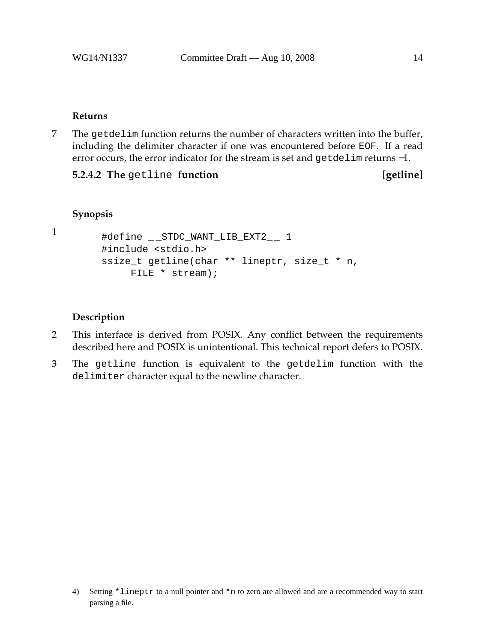#### **Returns**

7 The getdelim function returns the number of characters written into the buffer, including the delimiter character if one was encountered before EOF. If a read error occurs, the error indicator for the stream is set and getdelim returns −1.

**5.2.4.2 The** getline **function** [getline]

```
Synopsis
```

```
1
```

```
#define __STDC_WANT_LIB_EXT2__ 1
#include <stdio.h>
ssize_t getline(char ** lineptr, size_t * n,
    FILE * stream);
```
- 2 This interface is derived from POSIX. Any conflict between the requirements described here and POSIX is unintentional. This technical report defers to POSIX.
- 3 The getline function is equivalent to the getdelim function with the delimiter character equal to the newline character.

<sup>4)</sup> Setting \*lineptr to a null pointer and \*n to zero are allowed and are a recommended way to start parsing a file.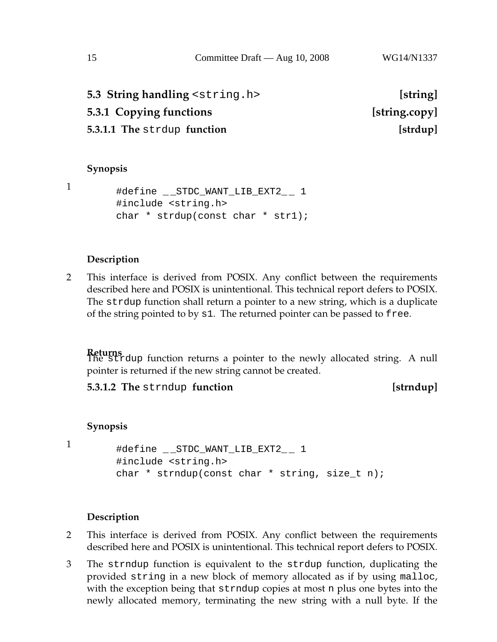| 5.3 String handling <string.h></string.h> | [string]      |
|-------------------------------------------|---------------|
| 5.3.1 Copying functions                   | [string.copy] |
| 5.3.1.1 The strdup function               | [strdup]      |
|                                           |               |

#### **Synopsis**

1

#define \_\_STDC\_WANT\_LIB\_EXT2\_\_ 1 #include <string.h> char \* strdup(const char \* str1);

#### **Description**

2 This interface is derived from POSIX. Any conflict between the requirements described here and POSIX is unintentional. This technical report defers to POSIX. The strdup function shall return a pointer to a new string, which is a duplicate of the string pointed to by s1. The returned pointer can be passed to free.

**Returns** The strdup function returns a pointer to the newly allocated string. A null pointer is returned if the new string cannot be created.

**5.3.1.2 The** strndup **function** *stridup* 

#### **Synopsis**

1

```
#define __STDC_WANT_LIB_EXT2__ 1
#include <string.h>
char * strndup(const char * string, size_t n);
```
- 2 This interface is derived from POSIX. Any conflict between the requirements described here and POSIX is unintentional. This technical report defers to POSIX.
- 3 The strndup function is equivalent to the strdup function, duplicating the provided string in a new block of memory allocated as if by using malloc, with the exception being that strndup copies at most n plus one bytes into the newly allocated memory, terminating the new string with a null byte. If the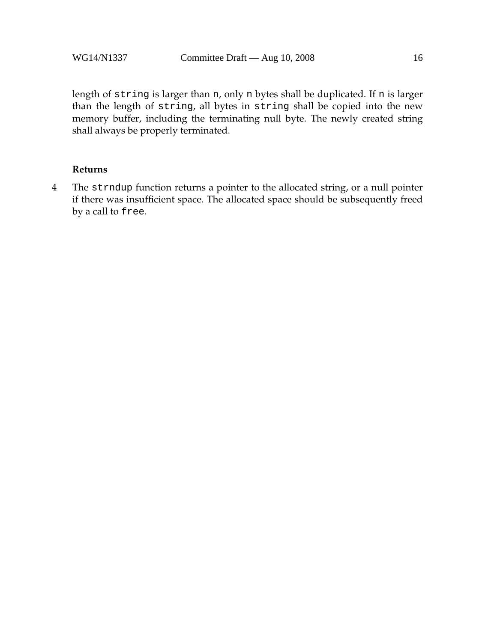length of string is larger than n, only n bytes shall be duplicated. If n is larger than the length of string, all bytes in string shall be copied into the new memory buffer, including the terminating null byte. The newly created string shall always be properly terminated.

#### **Returns**

4 The strndup function returns a pointer to the allocated string, or a null pointer if there was insufficient space. The allocated space should be subsequently freed by a call to free.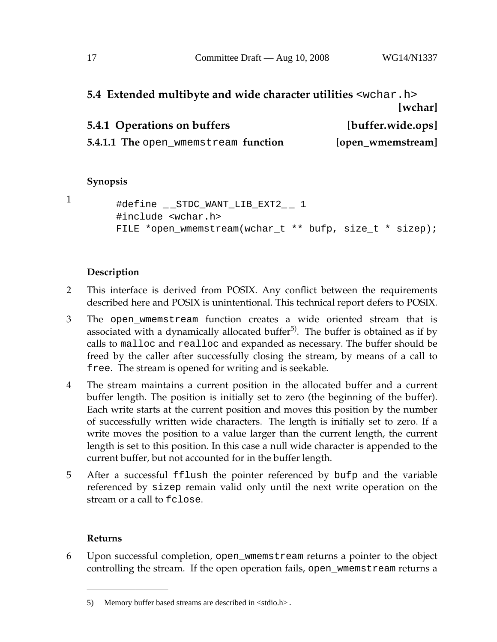## **5.4 Extended multibyte and wide character utilities** <wchar.h> **[wchar] 5.4.1 Operations on buffers [buffer.wide.ops]**

**5.4.1.1 The** open\_wmemstream **function** [open\_wmemstream]

#### **Synopsis**

1

```
#define __STDC_WANT_LIB_EXT2__ 1
#include <wchar.h>
FILE *open wmemstream(wchar t ** bufp, size t * sizep);
```
#### **Description**

- 2 This interface is derived from POSIX. Any conflict between the requirements described here and POSIX is unintentional. This technical report defers to POSIX.
- 3 The open\_wmemstream function creates a wide oriented stream that is associated with a dynamically allocated buffer<sup>5)</sup>. The buffer is obtained as if by calls to malloc and realloc and expanded as necessary. The buffer should be freed by the caller after successfully closing the stream, by means of a call to free. The stream is opened for writing and is seekable.
- 4 The stream maintains a current position in the allocated buffer and a current buffer length. The position is initially set to zero (the beginning of the buffer). Each write starts at the current position and moves this position by the number of successfully written wide characters. The length is initially set to zero. If a write moves the position to a value larger than the current length, the current length is set to this position. In this case a null wide character is appended to the current buffer, but not accounted for in the buffer length.
- 5 After a successful fflush the pointer referenced by bufp and the variable referenced by sizep remain valid only until the next write operation on the stream or a call to fclose.

#### **Returns**

6 Upon successful completion, open\_wmemstream returns a pointer to the object controlling the stream. If the open operation fails, open\_wmemstream returns a

<sup>5)</sup> Memory buffer based streams are described in  $\lt$ stdio.h>.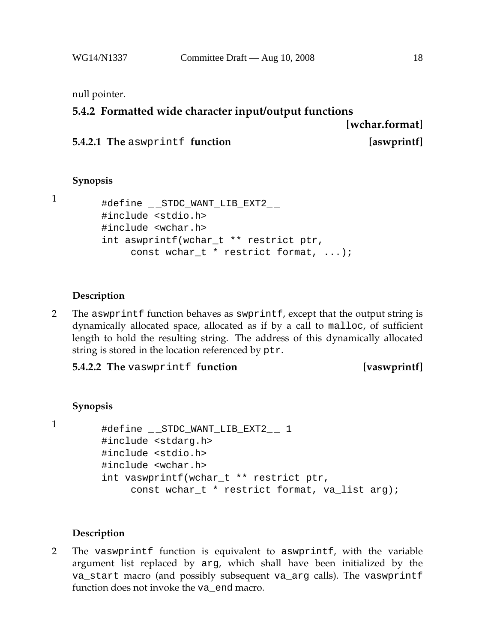### **5.4.2 Formatted wide character input/output functions**

**[wchar.format]**

```
5.4.2.1 The aswprintf function [aswprintf]
```
# **Synopsis**

```
1
```

```
#define _ _STDC_WANT_LIB_EXT2_ _
#include <stdio.h>
#include <wchar.h>
int aswprintf(wchar_t ** restrict ptr,
     const wchar_t * restrict format, ...);
```
#### **Description**

2 The aswprintf function behaves as swprintf, except that the output string is dynamically allocated space, allocated as if by a call to malloc, of sufficient length to hold the resulting string. The address of this dynamically allocated string is stored in the location referenced by ptr.

**5.4.2.2 The** vaswprintf **function [vaswprintf]**

#### **Synopsis**

```
1
```

```
#define _ _STDC_WANT_LIB_EXT2_ _ 1
#include <stdarg.h>
#include <stdio.h>
#include <wchar.h>
int vaswprintf(wchar_t ** restrict ptr,
     const wchar_t * restrict format, va_list arg);
```
### **Description**

2 The vaswprintf function is equivalent to aswprintf, with the variable argument list replaced by arg, which shall have been initialized by the va\_start macro (and possibly subsequent va\_arg calls). The vaswprintf function does not invoke the va end macro.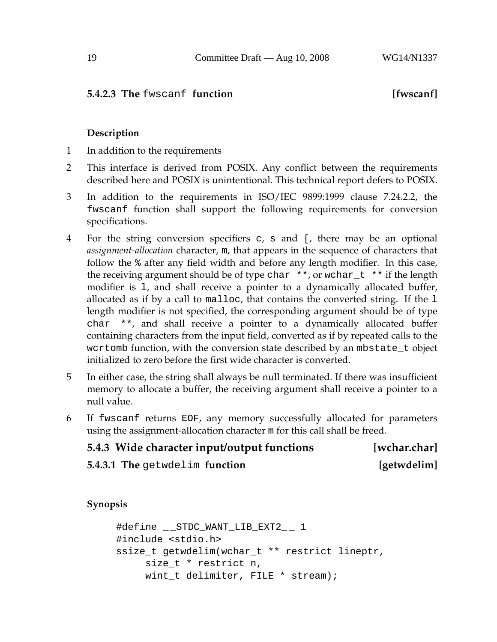### **5.4.2.3 The** fwscanf **function** [**fwscanf**]

#### **Description**

- 1 In addition to the requirements
- 2 This interface is derived from POSIX. Any conflict between the requirements described here and POSIX is unintentional. This technical report defers to POSIX.
- 3 In addition to the requirements in ISO/IEC 9899:1999 clause 7.24.2.2, the fwscanf function shall support the following requirements for conversion specifications.
- 4 For the string conversion specifiers c, s and [, there may be an optional *assignment-allocation* character, m, that appears in the sequence of characters that follow the % after any field width and before any length modifier. In this case, the receiving argument should be of type char  $**$ , or wchar  $_t$  \*\* if the length modifier is l, and shall receive a pointer to a dynamically allocated buffer, allocated as if by a call to malloc, that contains the converted string. If the l length modifier is not specified, the corresponding argument should be of type char \*\*, and shall receive a pointer to a dynamically allocated buffer containing characters from the input field, converted as if by repeated calls to the wcrtomb function, with the conversion state described by an mbstate\_t object initialized to zero before the first wide character is converted.
- 5 In either case, the string shall always be null terminated. If there was insufficient memory to allocate a buffer, the receiving argument shall receive a pointer to a null value.
- 6 If fwscanf returns EOF, any memory successfully allocated for parameters using the assignment-allocation character m for this call shall be freed.

| 5.4.3 Wide character input/output functions | [wchar.char] |
|---------------------------------------------|--------------|
| 5.4.3.1 The getwdelim function              | [getwdelim]  |

**Synopsis**

```
#define __STDC_WANT_LIB_EXT2__ 1
#include <stdio.h>
ssize_t getwdelim(wchar_t ** restrict lineptr,
     size t * restrict n,
    wint_t delimiter, FILE * stream);
```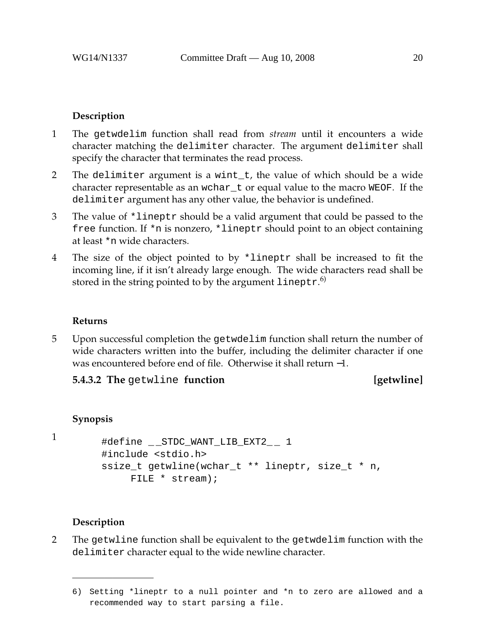#### **Description**

- 1 The getwdelim function shall read from *stream* until it encounters a wide character matching the delimiter character. The argument delimiter shall specify the character that terminates the read process.
- 2 The delimiter argument is a wint\_t, the value of which should be a wide character representable as an wchar\_t or equal value to the macro WEOF. If the delimiter argument has any other value, the behavior is undefined.
- 3 The value of \*lineptr should be a valid argument that could be passed to the free function. If \*n is nonzero, \*lineptr should point to an object containing at least \*n wide characters.
- 4 The size of the object pointed to by \*lineptr shall be increased to fit the incoming line, if it isn't already large enough. The wide characters read shall be stored in the string pointed to by the argument  $\verb|lineptr|.^6\rangle$

#### **Returns**

5 Upon successful completion the getwdelim function shall return the number of wide characters written into the buffer, including the delimiter character if one was encountered before end of file. Otherwise it shall return −1.

#### **5.4.3.2 The** getwline **function contained** [getwline]

#### **Synopsis**

1

```
#define STDC WANT LIB EXT2 1
#include <stdio.h>
ssize_t getwline(wchar_t ** lineptr, size_t * n,
    FILE * stream);
```
#### **Description**

2 The getwline function shall be equivalent to the getwdelim function with the delimiter character equal to the wide newline character.

<sup>6)</sup> Setting \*lineptr to a null pointer and \*n to zero are allowed and a recommended way to start parsing a file.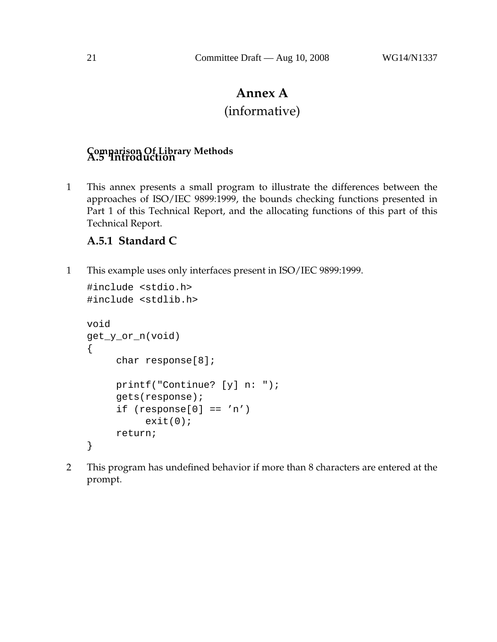## **Annex A**

## (informative)

# **Comparison Of Library Methods A.5 Introduction**

1 This annex presents a small program to illustrate the differences between the approaches of ISO/IEC 9899:1999, the bounds checking functions presented in Part 1 of this Technical Report, and the allocating functions of this part of this Technical Report.

### **A.5.1 Standard C**

1 This example uses only interfaces present in ISO/IEC 9899:1999.

```
#include <stdio.h>
#include <stdlib.h>
void
get_y_or_n(void)
{
     char response[8];
     printf("Continue? [y] n: ");
     gets(response);
     if (response[0] == 'n')exit(0);return;
}
```
2 This program has undefined behavior if more than 8 characters are entered at the prompt.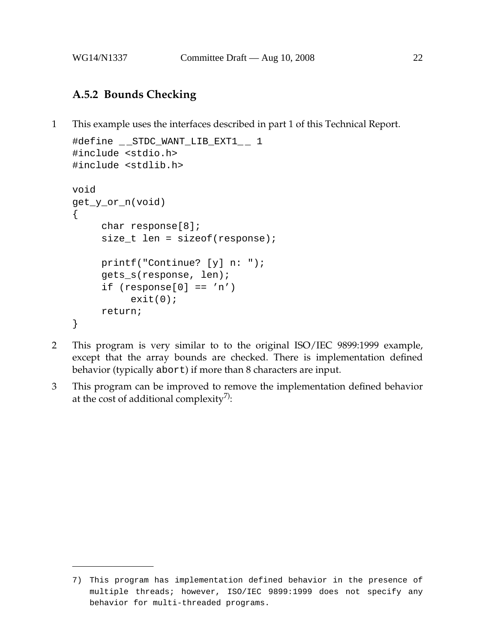## **A.5.2 Bounds Checking**

1 This example uses the interfaces described in part 1 of this Technical Report.

```
#define __STDC_WANT_LIB_EXT1__ 1
#include <stdio.h>
#include <stdlib.h>
void
get_y_or_n(void)
{
     char response[8];
     size_t len = sizeof(response);
     printf("Continue? [y] n: ");
     gets_s(response, len);
     if (response[0] == 'n')exit(0);return;
}
```
- 2 This program is very similar to to the original ISO/IEC 9899:1999 example, except that the array bounds are checked. There is implementation defined behavior (typically abort) if more than 8 characters are input.
- 3 This program can be improved to remove the implementation defined behavior at the cost of additional complexity<sup>7)</sup>:

<sup>7)</sup> This program has implementation defined behavior in the presence of multiple threads; however, ISO/IEC 9899:1999 does not specify any behavior for multi-threaded programs.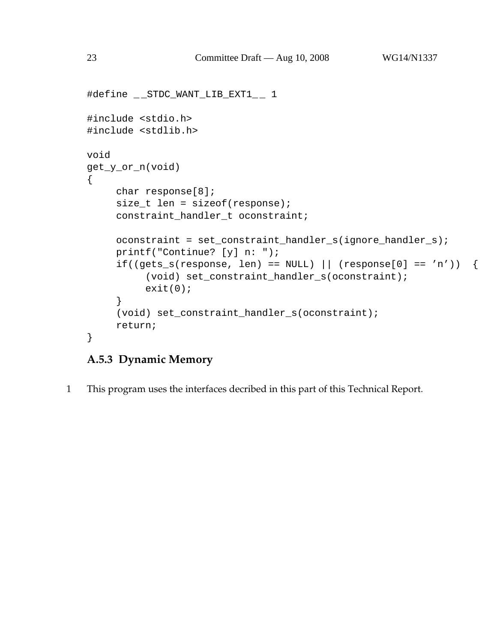```
#define __STDC_WANT_LIB_EXT1__ 1
#include <stdio.h>
#include <stdlib.h>
void
get_y_or_n(void)
{
     char response[8];
     size_t len = sizeof(response);
     constraint_handler_t oconstraint;
     oconstraint = set_constraint_handler_s(ignore_handler_s);
     printf("Continue? [y] n: ");
     if((gets_s(response, len) == NULL) || (response[0] == 'n')) {
          (void) set_constraint_handler_s(oconstraint);
          exit(0);}
     (void) set_constraint_handler_s(oconstraint);
     return;
}
```
## **A.5.3 Dynamic Memory**

1 This program uses the interfaces decribed in this part of this Technical Report.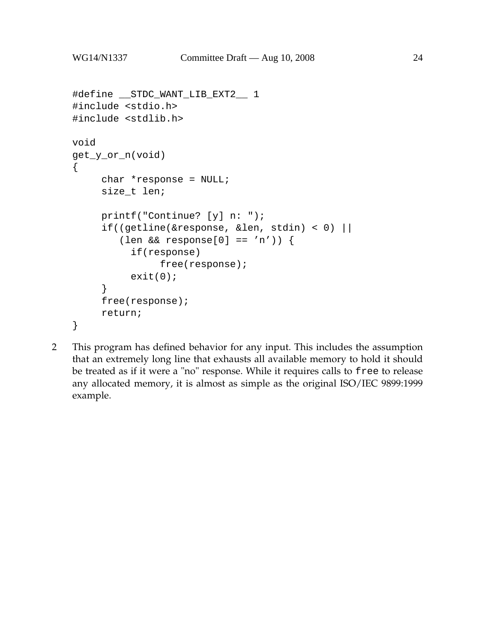```
#define __STDC_WANT_LIB_EXT2__ 1
#include <stdio.h>
#include <stdlib.h>
void
get_y_or_n(void)
{
     char *response = NULL;
     size_t len;
     printf("Continue? [y] n: ");
     if((getline(&response, &len, stdin) < 0) ||
        (len && response[0] == 'n')) {
          if(response)
               free(response);
          exit(0);}
     free(response);
     return;
}
```
2 This program has defined behavior for any input. This includes the assumption that an extremely long line that exhausts all available memory to hold it should be treated as if it were a "no" response. While it requires calls to free to release any allocated memory, it is almost as simple as the original ISO/IEC 9899:1999 example.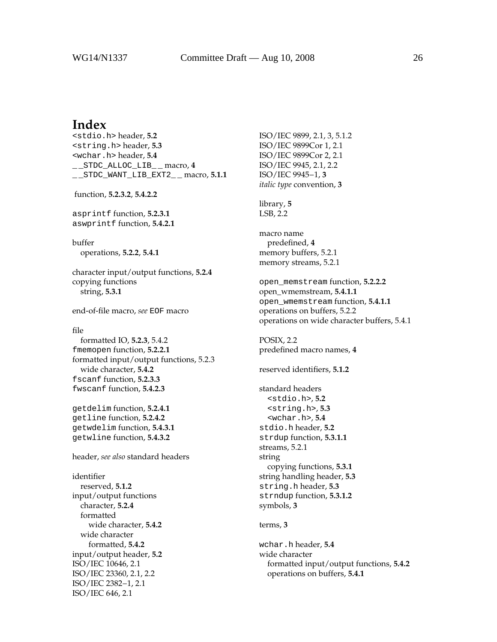### **Index**

<stdio.h> header, **5.2** <string.h> header, **5.3** <wchar.h> header, **5.4** \_ \_STDC\_ALLOC\_LIB\_ \_ macro, **4** \_ \_STDC\_WANT\_LIB\_EXT2\_ \_ macro, **5.1.1** function, **5.2.3.2**, **5.4.2.2** asprintf function, **5.2.3.1** aswprintf function, **5.4.2.1** buffer operations, **5.2.2**, **5.4.1** character input/output functions, **5.2.4** copying functions string, **5.3.1** end-of-file macro, *see* EOF macro file formatted IO, **5.2.3**, 5.4.2 fmemopen function, **5.2.2.1** formatted input/output functions, 5.2.3 wide character, **5.4.2** fscanf function, **5.2.3.3** fwscanf function, **5.4.2.3** getdelim function, **5.2.4.1** getline function, **5.2.4.2** getwdelim function, **5.4.3.1**

header, *see also* standard headers

getwline function, **5.4.3.2**

identifier reserved, **5.1.2** input/output functions character, **5.2.4** formatted wide character, **5.4.2** wide character formatted, **5.4.2** input/output header, **5.2** ISO/IEC 10646, 2.1 ISO/IEC 23360, 2.1, 2.2 ISO/IEC 2382−1, 2.1 ISO/IEC 646, 2.1

ISO/IEC 9899, 2.1, 3, 5.1.2 ISO/IEC 9899Cor 1, 2.1 ISO/IEC 9899Cor 2, 2.1 ISO/IEC 9945, 2.1, 2.2 ISO/IEC 9945−1, **3** *italic type* convention, **3** library, **5** LSB, 2.2 macro name predefined, **4** memory buffers, 5.2.1 memory streams, 5.2.1 open\_memstream function, **5.2.2.2** open\_wmemstream, **5.4.1.1** open\_wmemstream function, **5.4.1.1** operations on buffers, 5.2.2 operations on wide character buffers, 5.4.1 POSIX, 2.2 predefined macro names, **4** reserved identifiers, **5.1.2** standard headers <stdio.h>, **5.2** <string.h>, **5.3** <wchar.h>, **5.4** stdio.h header, **5.2** strdup function, **5.3.1.1** streams, 5.2.1 string copying functions, **5.3.1** string handling header, **5.3** string.h header, **5.3** strndup function, **5.3.1.2** symbols, **3** terms, **3** wchar.h header, **5.4** wide character formatted input/output functions, **5.4.2** operations on buffers, **5.4.1**